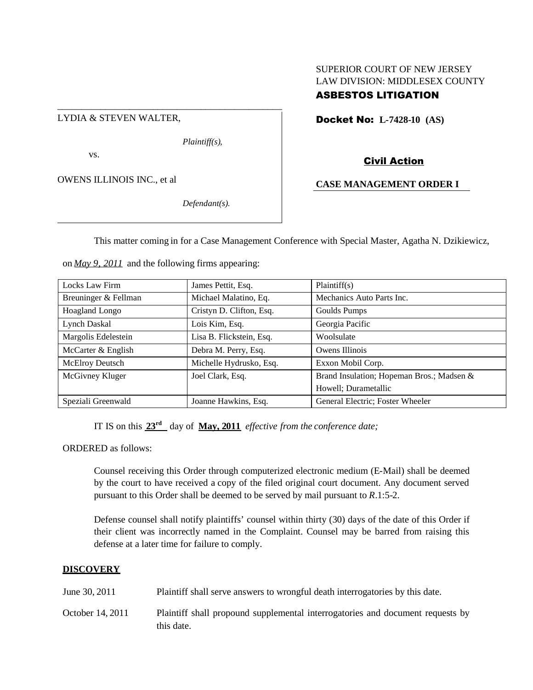# SUPERIOR COURT OF NEW JERSEY LAW DIVISION: MIDDLESEX COUNTY

# ASBESTOS LITIGATION

LYDIA & STEVEN WALTER,

*Plaintiff(s),*

vs.

OWENS ILLINOIS INC., et al

*Defendant(s).*

Docket No: **L-7428-10 (AS)**

# Civil Action

# **CASE MANAGEMENT ORDER I**

This matter coming in for a Case Management Conference with Special Master, Agatha N. Dzikiewicz,

on *May 9, 2011* and the following firms appearing:

\_\_\_\_\_\_\_\_\_\_\_\_\_\_\_\_\_\_\_\_\_\_\_\_\_\_\_\_\_\_\_\_\_\_\_\_\_\_\_\_\_\_\_\_\_\_\_

| Locks Law Firm        | James Pettit, Esq.       | Plaintiff(s)                              |
|-----------------------|--------------------------|-------------------------------------------|
| Breuninger & Fellman  | Michael Malatino, Eq.    | Mechanics Auto Parts Inc.                 |
| <b>Hoagland Longo</b> | Cristyn D. Clifton, Esq. | Goulds Pumps                              |
| Lynch Daskal          | Lois Kim, Esq.           | Georgia Pacific                           |
| Margolis Edelestein   | Lisa B. Flickstein, Esq. | Woolsulate                                |
| McCarter & English    | Debra M. Perry, Esq.     | Owens Illinois                            |
| McElroy Deutsch       | Michelle Hydrusko, Esq.  | Exxon Mobil Corp.                         |
| McGivney Kluger       | Joel Clark, Esq.         | Brand Insulation; Hopeman Bros.; Madsen & |
|                       |                          | Howell; Durametallic                      |
| Speziali Greenwald    | Joanne Hawkins, Esq.     | General Electric; Foster Wheeler          |

IT IS on this **23rd** day of **May, 2011** *effective from the conference date;*

ORDERED as follows:

Counsel receiving this Order through computerized electronic medium (E-Mail) shall be deemed by the court to have received a copy of the filed original court document. Any document served pursuant to this Order shall be deemed to be served by mail pursuant to *R*.1:5-2.

Defense counsel shall notify plaintiffs' counsel within thirty (30) days of the date of this Order if their client was incorrectly named in the Complaint. Counsel may be barred from raising this defense at a later time for failure to comply.

## **DISCOVERY**

- June 30, 2011 Plaintiff shall serve answers to wrongful death interrogatories by this date.
- October 14, 2011 Plaintiff shall propound supplemental interrogatories and document requests by this date.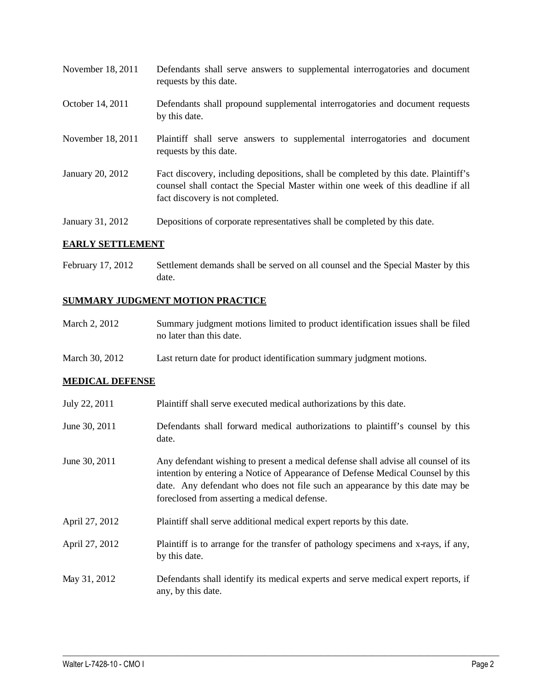November 18, 2011 Defendants shall serve answers to supplemental interrogatories and document requests by this date. October 14, 2011 Defendants shall propound supplemental interrogatories and document requests by this date. November 18, 2011 Plaintiff shall serve answers to supplemental interrogatories and document requests by this date. January 20, 2012 Fact discovery, including depositions, shall be completed by this date. Plaintiff's counsel shall contact the Special Master within one week of this deadline if all fact discovery is not completed. January 31, 2012 Depositions of corporate representatives shall be completed by this date.

## **EARLY SETTLEMENT**

February 17, 2012 Settlement demands shall be served on all counsel and the Special Master by this date.

## **SUMMARY JUDGMENT MOTION PRACTICE**

- March 2, 2012 Summary judgment motions limited to product identification issues shall be filed no later than this date.
- March 30, 2012 Last return date for product identification summary judgment motions.

## **MEDICAL DEFENSE**

| July 22, 2011  | Plaintiff shall serve executed medical authorizations by this date.                                                                                                                                                                                                                                   |
|----------------|-------------------------------------------------------------------------------------------------------------------------------------------------------------------------------------------------------------------------------------------------------------------------------------------------------|
| June 30, 2011  | Defendants shall forward medical authorizations to plaintiff's counsel by this<br>date.                                                                                                                                                                                                               |
| June 30, 2011  | Any defendant wishing to present a medical defense shall advise all counsel of its<br>intention by entering a Notice of Appearance of Defense Medical Counsel by this<br>date. Any defendant who does not file such an appearance by this date may be<br>foreclosed from asserting a medical defense. |
| April 27, 2012 | Plaintiff shall serve additional medical expert reports by this date.                                                                                                                                                                                                                                 |
| April 27, 2012 | Plaintiff is to arrange for the transfer of pathology specimens and x-rays, if any,<br>by this date.                                                                                                                                                                                                  |
| May 31, 2012   | Defendants shall identify its medical experts and serve medical expert reports, if<br>any, by this date.                                                                                                                                                                                              |

 $\_$  ,  $\_$  ,  $\_$  ,  $\_$  ,  $\_$  ,  $\_$  ,  $\_$  ,  $\_$  ,  $\_$  ,  $\_$  ,  $\_$  ,  $\_$  ,  $\_$  ,  $\_$  ,  $\_$  ,  $\_$  ,  $\_$  ,  $\_$  ,  $\_$  ,  $\_$  ,  $\_$  ,  $\_$  ,  $\_$  ,  $\_$  ,  $\_$  ,  $\_$  ,  $\_$  ,  $\_$  ,  $\_$  ,  $\_$  ,  $\_$  ,  $\_$  ,  $\_$  ,  $\_$  ,  $\_$  ,  $\_$  ,  $\_$  ,